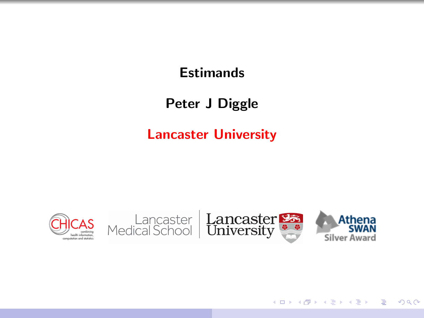## **Estimands**

## Peter J Diggle

### Lancaster University

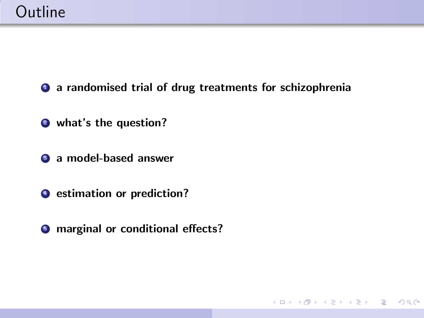**1** a randomised trial of drug treatments for schizophrenia

KO KARA KE KAEK LE YO GO

**2** what's the question?

**3** a model-based answer

 $\bullet$  estimation or prediction?

**<sup>6</sup>** marginal or conditional effects?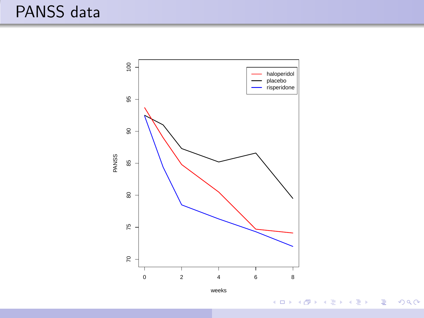

イロメ イ団メ イ君メ イ君メー 重  $-990$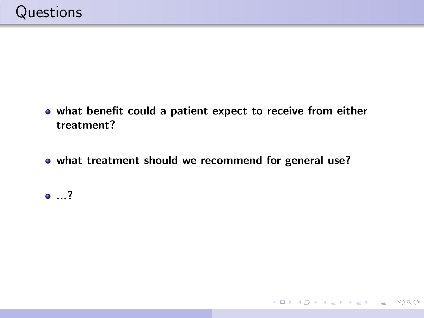- what benefit could a patient expect to receive from either treatment?
- what treatment should we recommend for general use?

K ロ ▶ K @ ▶ K 할 ▶ K 할 ▶ → 할 → 9 Q @

...?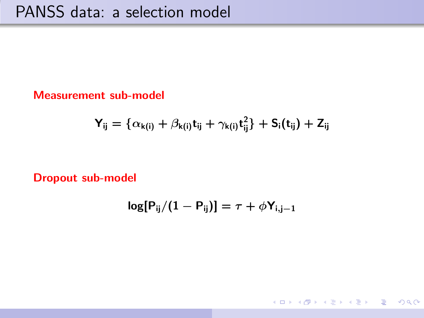Measurement sub-model

$$
Y_{ij} = \{ \alpha_{k(i)} + \beta_{k(i)} t_{ij} + \gamma_{k(i)} t_{ij}^2 \} + S_i(t_{ij}) + Z_{ij}
$$

Dropout sub-model

$$
\log[\mathsf{P}_{ij}/(1-\mathsf{P}_{ij})] = \tau + \phi \mathsf{Y}_{i,j-1}
$$

KO KARA KE KAEK LE YO GO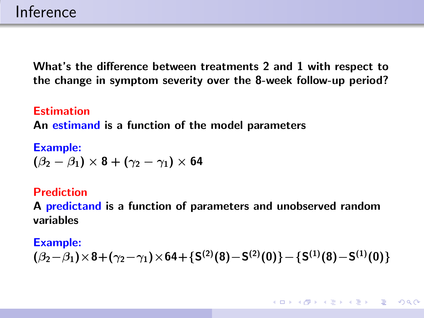What's the difference between treatments 2 and 1 with respect to the change in symptom severity over the 8-week follow-up period?

Estimation An estimand is a function of the model parameters

Example:  $(\beta_2 - \beta_1) \times 8 + (\gamma_2 - \gamma_1) \times 64$ 

#### Prediction

A **predictand** is a function of parameters and unobserved random variables

#### Example:

$$
(\beta_2-\beta_1)\times8+(\gamma_2-\gamma_1)\times64+\{S^{(2)}(8)-S^{(2)}(0)\}-\{S^{(1)}(8)-S^{(1)}(0)\}
$$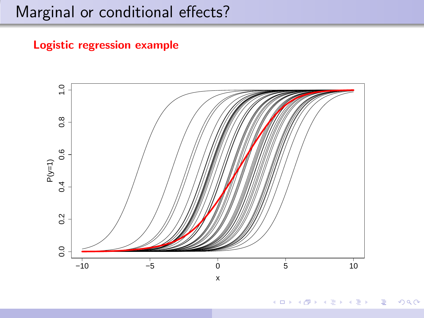# Marginal or conditional effects?

### Logistic regression example



**何 ) ( 三 )** ( 三 )  $299$ ₿  $\Box$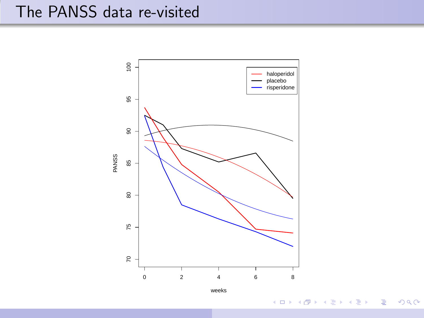# The PANSS data re-visited



weeks

 $2990$ 

重

メロメ メ部メ メミメ メミメ